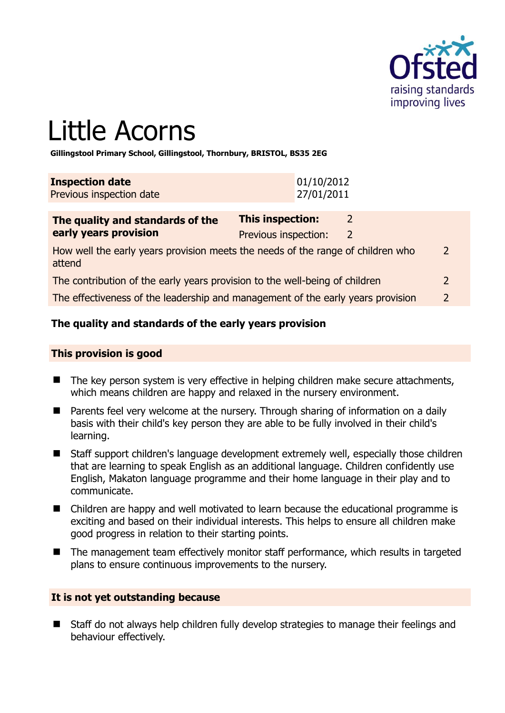

# Little Acorns

**Gillingstool Primary School, Gillingstool, Thornbury, BRISTOL, BS35 2EG** 

| <b>Inspection date</b>   | 01/10/2012 |
|--------------------------|------------|
| Previous inspection date | 27/01/2011 |

| The quality and standards of the                                                          | <b>This inspection:</b><br>$\overline{2}$ |                |               |
|-------------------------------------------------------------------------------------------|-------------------------------------------|----------------|---------------|
| early years provision                                                                     | Previous inspection:                      | $\overline{2}$ |               |
| How well the early years provision meets the needs of the range of children who<br>attend |                                           |                | $\mathcal{L}$ |
| The contribution of the early years provision to the well-being of children               |                                           |                | $\mathcal{L}$ |
| The effectiveness of the leadership and management of the early years provision           |                                           |                |               |

# **The quality and standards of the early years provision**

#### **This provision is good**

- The key person system is very effective in helping children make secure attachments, which means children are happy and relaxed in the nursery environment.
- Parents feel very welcome at the nursery. Through sharing of information on a daily basis with their child's key person they are able to be fully involved in their child's learning.
- Staff support children's language development extremely well, especially those children that are learning to speak English as an additional language. Children confidently use English, Makaton language programme and their home language in their play and to communicate.
- Children are happy and well motivated to learn because the educational programme is exciting and based on their individual interests. This helps to ensure all children make good progress in relation to their starting points.
- The management team effectively monitor staff performance, which results in targeted plans to ensure continuous improvements to the nursery.

#### **It is not yet outstanding because**

■ Staff do not always help children fully develop strategies to manage their feelings and behaviour effectively.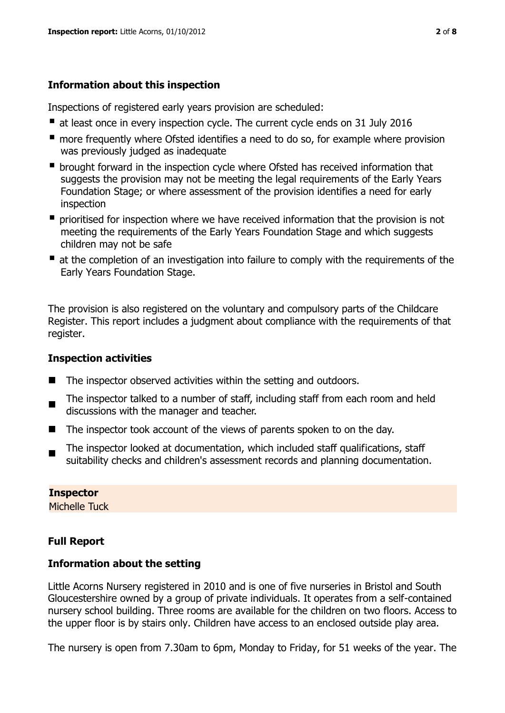# **Information about this inspection**

Inspections of registered early years provision are scheduled:

- at least once in every inspection cycle. The current cycle ends on 31 July 2016
- **n** more frequently where Ofsted identifies a need to do so, for example where provision was previously judged as inadequate
- **•** brought forward in the inspection cycle where Ofsted has received information that suggests the provision may not be meeting the legal requirements of the Early Years Foundation Stage; or where assessment of the provision identifies a need for early inspection
- **P** prioritised for inspection where we have received information that the provision is not meeting the requirements of the Early Years Foundation Stage and which suggests children may not be safe
- at the completion of an investigation into failure to comply with the requirements of the Early Years Foundation Stage.

The provision is also registered on the voluntary and compulsory parts of the Childcare Register. This report includes a judgment about compliance with the requirements of that register.

# **Inspection activities**

- The inspector observed activities within the setting and outdoors.
- $\blacksquare$ The inspector talked to a number of staff, including staff from each room and held discussions with the manager and teacher.
- The inspector took account of the views of parents spoken to on the day.
- The inspector looked at documentation, which included staff qualifications, staff suitability checks and children's assessment records and planning documentation.

# **Inspector**

Michelle Tuck

# **Full Report**

# **Information about the setting**

Little Acorns Nursery registered in 2010 and is one of five nurseries in Bristol and South Gloucestershire owned by a group of private individuals. It operates from a self-contained nursery school building. Three rooms are available for the children on two floors. Access to the upper floor is by stairs only. Children have access to an enclosed outside play area.

The nursery is open from 7.30am to 6pm, Monday to Friday, for 51 weeks of the year. The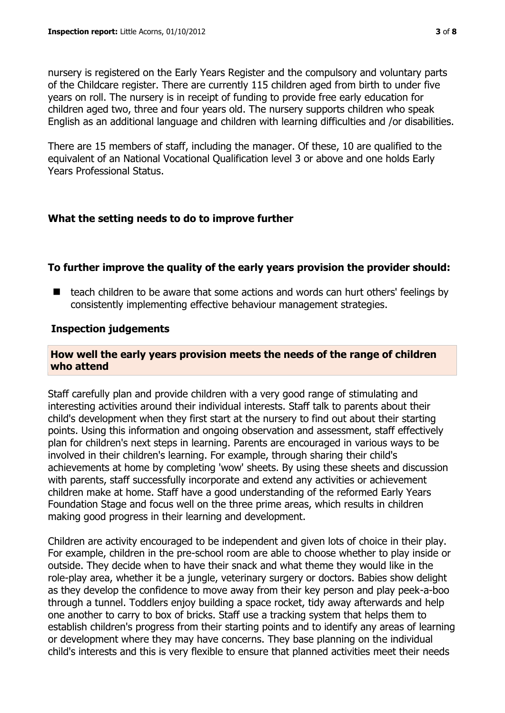nursery is registered on the Early Years Register and the compulsory and voluntary parts of the Childcare register. There are currently 115 children aged from birth to under five years on roll. The nursery is in receipt of funding to provide free early education for children aged two, three and four years old. The nursery supports children who speak English as an additional language and children with learning difficulties and /or disabilities.

There are 15 members of staff, including the manager. Of these, 10 are qualified to the equivalent of an National Vocational Qualification level 3 or above and one holds Early Years Professional Status.

## **What the setting needs to do to improve further**

## **To further improve the quality of the early years provision the provider should:**

■ teach children to be aware that some actions and words can hurt others' feelings by consistently implementing effective behaviour management strategies.

#### **Inspection judgements**

#### **How well the early years provision meets the needs of the range of children who attend**

Staff carefully plan and provide children with a very good range of stimulating and interesting activities around their individual interests. Staff talk to parents about their child's development when they first start at the nursery to find out about their starting points. Using this information and ongoing observation and assessment, staff effectively plan for children's next steps in learning. Parents are encouraged in various ways to be involved in their children's learning. For example, through sharing their child's achievements at home by completing 'wow' sheets. By using these sheets and discussion with parents, staff successfully incorporate and extend any activities or achievement children make at home. Staff have a good understanding of the reformed Early Years Foundation Stage and focus well on the three prime areas, which results in children making good progress in their learning and development.

Children are activity encouraged to be independent and given lots of choice in their play. For example, children in the pre-school room are able to choose whether to play inside or outside. They decide when to have their snack and what theme they would like in the role-play area, whether it be a jungle, veterinary surgery or doctors. Babies show delight as they develop the confidence to move away from their key person and play peek-a-boo through a tunnel. Toddlers enjoy building a space rocket, tidy away afterwards and help one another to carry to box of bricks. Staff use a tracking system that helps them to establish children's progress from their starting points and to identify any areas of learning or development where they may have concerns. They base planning on the individual child's interests and this is very flexible to ensure that planned activities meet their needs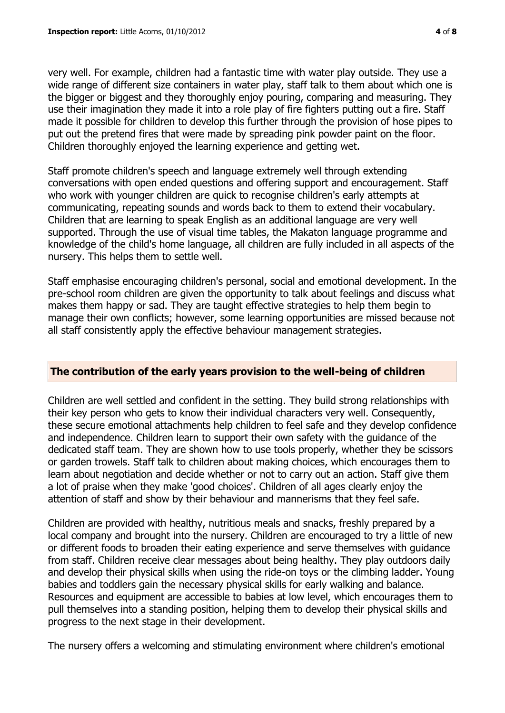very well. For example, children had a fantastic time with water play outside. They use a wide range of different size containers in water play, staff talk to them about which one is the bigger or biggest and they thoroughly enjoy pouring, comparing and measuring. They use their imagination they made it into a role play of fire fighters putting out a fire. Staff made it possible for children to develop this further through the provision of hose pipes to put out the pretend fires that were made by spreading pink powder paint on the floor. Children thoroughly enjoyed the learning experience and getting wet.

Staff promote children's speech and language extremely well through extending conversations with open ended questions and offering support and encouragement. Staff who work with younger children are quick to recognise children's early attempts at communicating, repeating sounds and words back to them to extend their vocabulary. Children that are learning to speak English as an additional language are very well supported. Through the use of visual time tables, the Makaton language programme and knowledge of the child's home language, all children are fully included in all aspects of the nursery. This helps them to settle well.

Staff emphasise encouraging children's personal, social and emotional development. In the pre-school room children are given the opportunity to talk about feelings and discuss what makes them happy or sad. They are taught effective strategies to help them begin to manage their own conflicts; however, some learning opportunities are missed because not all staff consistently apply the effective behaviour management strategies.

#### **The contribution of the early years provision to the well-being of children**

Children are well settled and confident in the setting. They build strong relationships with their key person who gets to know their individual characters very well. Consequently, these secure emotional attachments help children to feel safe and they develop confidence and independence. Children learn to support their own safety with the guidance of the dedicated staff team. They are shown how to use tools properly, whether they be scissors or garden trowels. Staff talk to children about making choices, which encourages them to learn about negotiation and decide whether or not to carry out an action. Staff give them a lot of praise when they make 'good choices'. Children of all ages clearly enjoy the attention of staff and show by their behaviour and mannerisms that they feel safe.

Children are provided with healthy, nutritious meals and snacks, freshly prepared by a local company and brought into the nursery. Children are encouraged to try a little of new or different foods to broaden their eating experience and serve themselves with guidance from staff. Children receive clear messages about being healthy. They play outdoors daily and develop their physical skills when using the ride-on toys or the climbing ladder. Young babies and toddlers gain the necessary physical skills for early walking and balance. Resources and equipment are accessible to babies at low level, which encourages them to pull themselves into a standing position, helping them to develop their physical skills and progress to the next stage in their development.

The nursery offers a welcoming and stimulating environment where children's emotional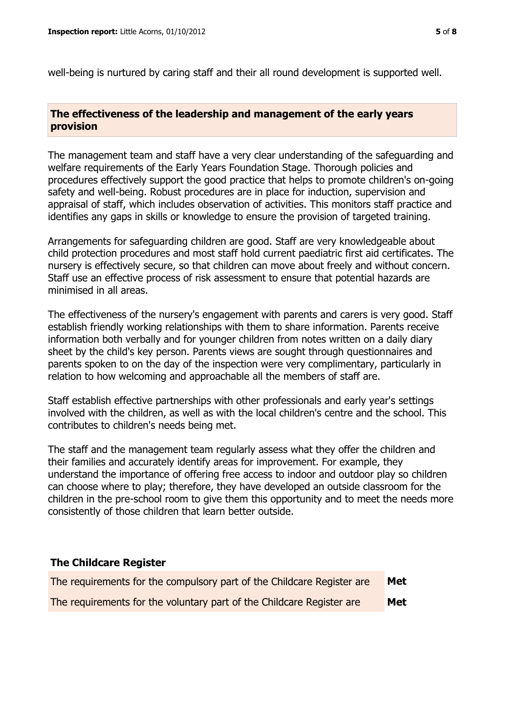well-being is nurtured by caring staff and their all round development is supported well.

## **The effectiveness of the leadership and management of the early years provision**

The management team and staff have a very clear understanding of the safeguarding and welfare requirements of the Early Years Foundation Stage. Thorough policies and procedures effectively support the good practice that helps to promote children's on-going safety and well-being. Robust procedures are in place for induction, supervision and appraisal of staff, which includes observation of activities. This monitors staff practice and identifies any gaps in skills or knowledge to ensure the provision of targeted training.

Arrangements for safeguarding children are good. Staff are very knowledgeable about child protection procedures and most staff hold current paediatric first aid certificates. The nursery is effectively secure, so that children can move about freely and without concern. Staff use an effective process of risk assessment to ensure that potential hazards are minimised in all areas.

The effectiveness of the nursery's engagement with parents and carers is very good. Staff establish friendly working relationships with them to share information. Parents receive information both verbally and for younger children from notes written on a daily diary sheet by the child's key person. Parents views are sought through questionnaires and parents spoken to on the day of the inspection were very complimentary, particularly in relation to how welcoming and approachable all the members of staff are.

Staff establish effective partnerships with other professionals and early year's settings involved with the children, as well as with the local children's centre and the school. This contributes to children's needs being met.

The staff and the management team regularly assess what they offer the children and their families and accurately identify areas for improvement. For example, they understand the importance of offering free access to indoor and outdoor play so children can choose where to play; therefore, they have developed an outside classroom for the children in the pre-school room to give them this opportunity and to meet the needs more consistently of those children that learn better outside.

#### **The Childcare Register**

| The requirements for the compulsory part of the Childcare Register are | Met |
|------------------------------------------------------------------------|-----|
| The requirements for the voluntary part of the Childcare Register are  | Met |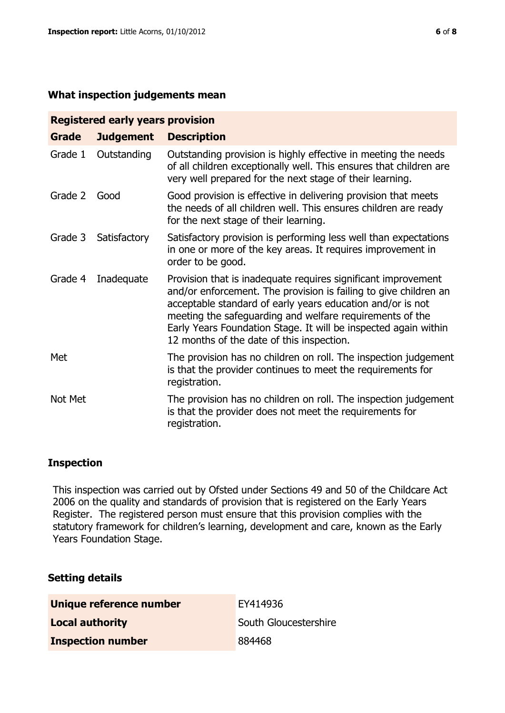#### **What inspection judgements mean**

| <b>Registered early years provision</b> |                  |                                                                                                                                                                                                                                                                                                                                                                             |  |  |
|-----------------------------------------|------------------|-----------------------------------------------------------------------------------------------------------------------------------------------------------------------------------------------------------------------------------------------------------------------------------------------------------------------------------------------------------------------------|--|--|
| Grade                                   | <b>Judgement</b> | <b>Description</b>                                                                                                                                                                                                                                                                                                                                                          |  |  |
| Grade 1                                 | Outstanding      | Outstanding provision is highly effective in meeting the needs<br>of all children exceptionally well. This ensures that children are<br>very well prepared for the next stage of their learning.                                                                                                                                                                            |  |  |
| Grade 2                                 | Good             | Good provision is effective in delivering provision that meets<br>the needs of all children well. This ensures children are ready<br>for the next stage of their learning.                                                                                                                                                                                                  |  |  |
| Grade 3                                 | Satisfactory     | Satisfactory provision is performing less well than expectations<br>in one or more of the key areas. It requires improvement in<br>order to be good.                                                                                                                                                                                                                        |  |  |
| Grade 4                                 | Inadequate       | Provision that is inadequate requires significant improvement<br>and/or enforcement. The provision is failing to give children an<br>acceptable standard of early years education and/or is not<br>meeting the safeguarding and welfare requirements of the<br>Early Years Foundation Stage. It will be inspected again within<br>12 months of the date of this inspection. |  |  |
| Met                                     |                  | The provision has no children on roll. The inspection judgement<br>is that the provider continues to meet the requirements for<br>registration.                                                                                                                                                                                                                             |  |  |
| Not Met                                 |                  | The provision has no children on roll. The inspection judgement<br>is that the provider does not meet the requirements for<br>registration.                                                                                                                                                                                                                                 |  |  |

## **Inspection**

This inspection was carried out by Ofsted under Sections 49 and 50 of the Childcare Act 2006 on the quality and standards of provision that is registered on the Early Years Register. The registered person must ensure that this provision complies with the statutory framework for children's learning, development and care, known as the Early Years Foundation Stage.

#### **Setting details**

| Unique reference number  | EY414936              |
|--------------------------|-----------------------|
| <b>Local authority</b>   | South Gloucestershire |
| <b>Inspection number</b> | 884468                |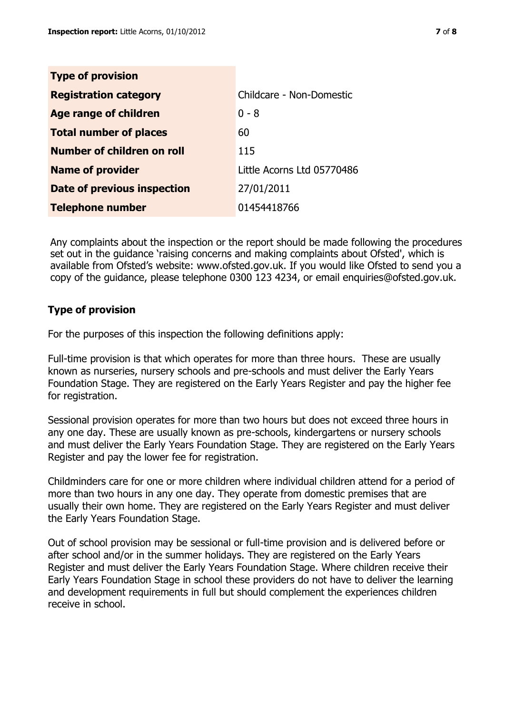| <b>Type of provision</b>      |                            |
|-------------------------------|----------------------------|
| <b>Registration category</b>  | Childcare - Non-Domestic   |
| Age range of children         | $0 - 8$                    |
| <b>Total number of places</b> | 60                         |
| Number of children on roll    | 115                        |
| <b>Name of provider</b>       | Little Acorns Ltd 05770486 |
| Date of previous inspection   | 27/01/2011                 |
| <b>Telephone number</b>       | 01454418766                |

Any complaints about the inspection or the report should be made following the procedures set out in the guidance 'raising concerns and making complaints about Ofsted', which is available from Ofsted's website: www.ofsted.gov.uk. If you would like Ofsted to send you a copy of the guidance, please telephone 0300 123 4234, or email enquiries@ofsted.gov.uk.

# **Type of provision**

For the purposes of this inspection the following definitions apply:

Full-time provision is that which operates for more than three hours. These are usually known as nurseries, nursery schools and pre-schools and must deliver the Early Years Foundation Stage. They are registered on the Early Years Register and pay the higher fee for registration.

Sessional provision operates for more than two hours but does not exceed three hours in any one day. These are usually known as pre-schools, kindergartens or nursery schools and must deliver the Early Years Foundation Stage. They are registered on the Early Years Register and pay the lower fee for registration.

Childminders care for one or more children where individual children attend for a period of more than two hours in any one day. They operate from domestic premises that are usually their own home. They are registered on the Early Years Register and must deliver the Early Years Foundation Stage.

Out of school provision may be sessional or full-time provision and is delivered before or after school and/or in the summer holidays. They are registered on the Early Years Register and must deliver the Early Years Foundation Stage. Where children receive their Early Years Foundation Stage in school these providers do not have to deliver the learning and development requirements in full but should complement the experiences children receive in school.